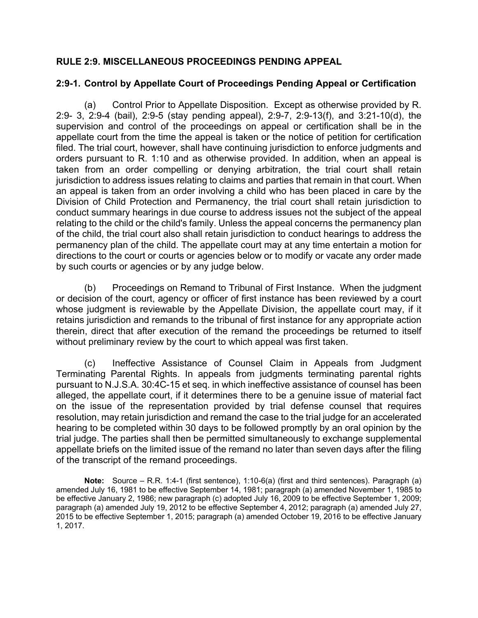## **RULE 2:9. MISCELLANEOUS PROCEEDINGS PENDING APPEAL**

### **2:9-1. Control by Appellate Court of Proceedings Pending Appeal or Certification**

(a) Control Prior to Appellate Disposition. Except as otherwise provided by R. 2:9- 3, 2:9-4 (bail), 2:9-5 (stay pending appeal), 2:9-7, 2:9-13(f), and 3:21-10(d), the supervision and control of the proceedings on appeal or certification shall be in the appellate court from the time the appeal is taken or the notice of petition for certification filed. The trial court, however, shall have continuing jurisdiction to enforce judgments and orders pursuant to R. 1:10 and as otherwise provided. In addition, when an appeal is taken from an order compelling or denying arbitration, the trial court shall retain jurisdiction to address issues relating to claims and parties that remain in that court. When an appeal is taken from an order involving a child who has been placed in care by the Division of Child Protection and Permanency, the trial court shall retain jurisdiction to conduct summary hearings in due course to address issues not the subject of the appeal relating to the child or the child's family. Unless the appeal concerns the permanency plan of the child, the trial court also shall retain jurisdiction to conduct hearings to address the permanency plan of the child. The appellate court may at any time entertain a motion for directions to the court or courts or agencies below or to modify or vacate any order made by such courts or agencies or by any judge below.

(b) Proceedings on Remand to Tribunal of First Instance. When the judgment or decision of the court, agency or officer of first instance has been reviewed by a court whose judgment is reviewable by the Appellate Division, the appellate court may, if it retains jurisdiction and remands to the tribunal of first instance for any appropriate action therein, direct that after execution of the remand the proceedings be returned to itself without preliminary review by the court to which appeal was first taken.

(c) Ineffective Assistance of Counsel Claim in Appeals from Judgment Terminating Parental Rights. In appeals from judgments terminating parental rights pursuant to N.J.S.A. 30:4C-15 et seq. in which ineffective assistance of counsel has been alleged, the appellate court, if it determines there to be a genuine issue of material fact on the issue of the representation provided by trial defense counsel that requires resolution, may retain jurisdiction and remand the case to the trial judge for an accelerated hearing to be completed within 30 days to be followed promptly by an oral opinion by the trial judge. The parties shall then be permitted simultaneously to exchange supplemental appellate briefs on the limited issue of the remand no later than seven days after the filing of the transcript of the remand proceedings.

**Note:** Source – R.R. 1:4-1 (first sentence), 1:10-6(a) (first and third sentences). Paragraph (a) amended July 16, 1981 to be effective September 14, 1981; paragraph (a) amended November 1, 1985 to be effective January 2, 1986; new paragraph (c) adopted July 16, 2009 to be effective September 1, 2009; paragraph (a) amended July 19, 2012 to be effective September 4, 2012; paragraph (a) amended July 27, 2015 to be effective September 1, 2015; paragraph (a) amended October 19, 2016 to be effective January 1, 2017.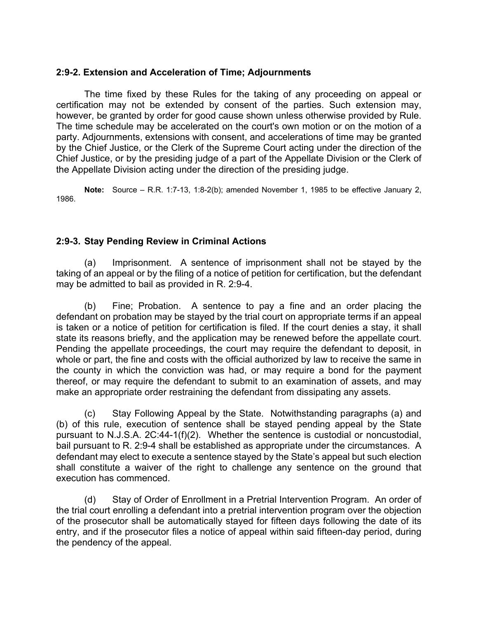### **2:9-2. Extension and Acceleration of Time; Adjournments**

The time fixed by these Rules for the taking of any proceeding on appeal or certification may not be extended by consent of the parties. Such extension may, however, be granted by order for good cause shown unless otherwise provided by Rule. The time schedule may be accelerated on the court's own motion or on the motion of a party. Adjournments, extensions with consent, and accelerations of time may be granted by the Chief Justice, or the Clerk of the Supreme Court acting under the direction of the Chief Justice, or by the presiding judge of a part of the Appellate Division or the Clerk of the Appellate Division acting under the direction of the presiding judge.

**Note:** Source – R.R. 1:7-13, 1:8-2(b); amended November 1, 1985 to be effective January 2, 1986.

## **2:9-3. Stay Pending Review in Criminal Actions**

(a) Imprisonment. A sentence of imprisonment shall not be stayed by the taking of an appeal or by the filing of a notice of petition for certification, but the defendant may be admitted to bail as provided in R. 2:9-4.

(b) Fine; Probation. A sentence to pay a fine and an order placing the defendant on probation may be stayed by the trial court on appropriate terms if an appeal is taken or a notice of petition for certification is filed. If the court denies a stay, it shall state its reasons briefly, and the application may be renewed before the appellate court. Pending the appellate proceedings, the court may require the defendant to deposit, in whole or part, the fine and costs with the official authorized by law to receive the same in the county in which the conviction was had, or may require a bond for the payment thereof, or may require the defendant to submit to an examination of assets, and may make an appropriate order restraining the defendant from dissipating any assets.

(c) Stay Following Appeal by the State. Notwithstanding paragraphs (a) and (b) of this rule, execution of sentence shall be stayed pending appeal by the State pursuant to N.J.S.A. 2C:44-1(f)(2). Whether the sentence is custodial or noncustodial, bail pursuant to R. 2:9-4 shall be established as appropriate under the circumstances. A defendant may elect to execute a sentence stayed by the State's appeal but such election shall constitute a waiver of the right to challenge any sentence on the ground that execution has commenced.

(d) Stay of Order of Enrollment in a Pretrial Intervention Program. An order of the trial court enrolling a defendant into a pretrial intervention program over the objection of the prosecutor shall be automatically stayed for fifteen days following the date of its entry, and if the prosecutor files a notice of appeal within said fifteen-day period, during the pendency of the appeal.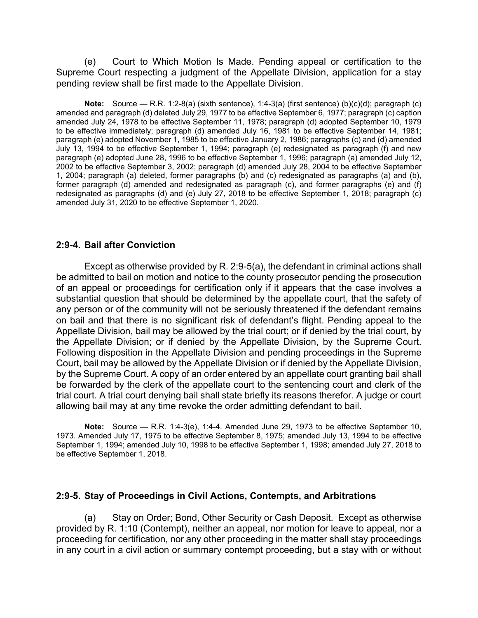(e) Court to Which Motion Is Made. Pending appeal or certification to the Supreme Court respecting a judgment of the Appellate Division, application for a stay pending review shall be first made to the Appellate Division.

**Note:** Source — R.R. 1:2-8(a) (sixth sentence), 1:4-3(a) (first sentence) (b)(c)(d); paragraph (c) amended and paragraph (d) deleted July 29, 1977 to be effective September 6, 1977; paragraph (c) caption amended July 24, 1978 to be effective September 11, 1978; paragraph (d) adopted September 10, 1979 to be effective immediately; paragraph (d) amended July 16, 1981 to be effective September 14, 1981; paragraph (e) adopted November 1, 1985 to be effective January 2, 1986; paragraphs (c) and (d) amended July 13, 1994 to be effective September 1, 1994; paragraph (e) redesignated as paragraph (f) and new paragraph (e) adopted June 28, 1996 to be effective September 1, 1996; paragraph (a) amended July 12, 2002 to be effective September 3, 2002; paragraph (d) amended July 28, 2004 to be effective September 1, 2004; paragraph (a) deleted, former paragraphs (b) and (c) redesignated as paragraphs (a) and (b), former paragraph (d) amended and redesignated as paragraph (c), and former paragraphs (e) and (f) redesignated as paragraphs (d) and (e) July 27, 2018 to be effective September 1, 2018; paragraph (c) amended July 31, 2020 to be effective September 1, 2020.

#### **2:9-4. Bail after Conviction**

Except as otherwise provided by R. 2:9-5(a), the defendant in criminal actions shall be admitted to bail on motion and notice to the county prosecutor pending the prosecution of an appeal or proceedings for certification only if it appears that the case involves a substantial question that should be determined by the appellate court, that the safety of any person or of the community will not be seriously threatened if the defendant remains on bail and that there is no significant risk of defendant's flight. Pending appeal to the Appellate Division, bail may be allowed by the trial court; or if denied by the trial court, by the Appellate Division; or if denied by the Appellate Division, by the Supreme Court. Following disposition in the Appellate Division and pending proceedings in the Supreme Court, bail may be allowed by the Appellate Division or if denied by the Appellate Division, by the Supreme Court. A copy of an order entered by an appellate court granting bail shall be forwarded by the clerk of the appellate court to the sentencing court and clerk of the trial court. A trial court denying bail shall state briefly its reasons therefor. A judge or court allowing bail may at any time revoke the order admitting defendant to bail.

**Note:** Source — R.R. 1:4-3(e), 1:4-4. Amended June 29, 1973 to be effective September 10, 1973. Amended July 17, 1975 to be effective September 8, 1975; amended July 13, 1994 to be effective September 1, 1994; amended July 10, 1998 to be effective September 1, 1998; amended July 27, 2018 to be effective September 1, 2018.

#### **2:9-5. Stay of Proceedings in Civil Actions, Contempts, and Arbitrations**

(a) Stay on Order; Bond, Other Security or Cash Deposit. Except as otherwise provided by R. 1:10 (Contempt), neither an appeal, nor motion for leave to appeal, nor a proceeding for certification, nor any other proceeding in the matter shall stay proceedings in any court in a civil action or summary contempt proceeding, but a stay with or without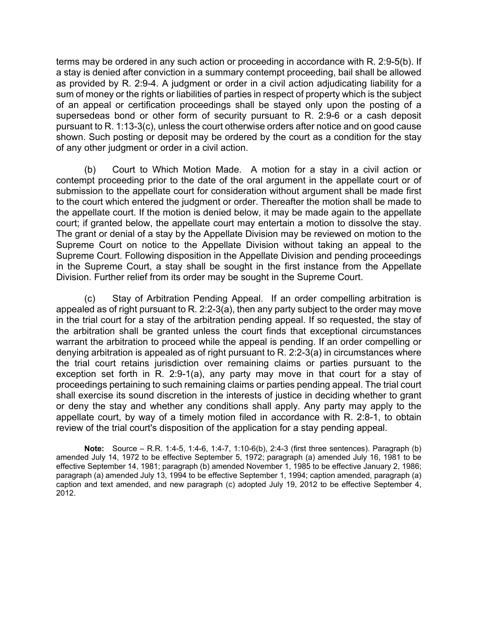terms may be ordered in any such action or proceeding in accordance with R. 2:9-5(b). If a stay is denied after conviction in a summary contempt proceeding, bail shall be allowed as provided by R. 2:9-4. A judgment or order in a civil action adjudicating liability for a sum of money or the rights or liabilities of parties in respect of property which is the subject of an appeal or certification proceedings shall be stayed only upon the posting of a supersedeas bond or other form of security pursuant to R. 2:9-6 or a cash deposit pursuant to R. 1:13-3(c), unless the court otherwise orders after notice and on good cause shown. Such posting or deposit may be ordered by the court as a condition for the stay of any other judgment or order in a civil action.

(b) Court to Which Motion Made. A motion for a stay in a civil action or contempt proceeding prior to the date of the oral argument in the appellate court or of submission to the appellate court for consideration without argument shall be made first to the court which entered the judgment or order. Thereafter the motion shall be made to the appellate court. If the motion is denied below, it may be made again to the appellate court; if granted below, the appellate court may entertain a motion to dissolve the stay. The grant or denial of a stay by the Appellate Division may be reviewed on motion to the Supreme Court on notice to the Appellate Division without taking an appeal to the Supreme Court. Following disposition in the Appellate Division and pending proceedings in the Supreme Court, a stay shall be sought in the first instance from the Appellate Division. Further relief from its order may be sought in the Supreme Court.

(c) Stay of Arbitration Pending Appeal. If an order compelling arbitration is appealed as of right pursuant to R. 2:2-3(a), then any party subject to the order may move in the trial court for a stay of the arbitration pending appeal. If so requested, the stay of the arbitration shall be granted unless the court finds that exceptional circumstances warrant the arbitration to proceed while the appeal is pending. If an order compelling or denying arbitration is appealed as of right pursuant to R. 2:2-3(a) in circumstances where the trial court retains jurisdiction over remaining claims or parties pursuant to the exception set forth in R. 2:9-1(a), any party may move in that court for a stay of proceedings pertaining to such remaining claims or parties pending appeal. The trial court shall exercise its sound discretion in the interests of justice in deciding whether to grant or deny the stay and whether any conditions shall apply. Any party may apply to the appellate court, by way of a timely motion filed in accordance with R. 2:8-1, to obtain review of the trial court's disposition of the application for a stay pending appeal.

**Note:** Source – R.R. 1:4-5, 1:4-6, 1:4-7, 1:10-6(b), 2:4-3 (first three sentences). Paragraph (b) amended July 14, 1972 to be effective September 5, 1972; paragraph (a) amended July 16, 1981 to be effective September 14, 1981; paragraph (b) amended November 1, 1985 to be effective January 2, 1986; paragraph (a) amended July 13, 1994 to be effective September 1, 1994; caption amended, paragraph (a) caption and text amended, and new paragraph (c) adopted July 19, 2012 to be effective September 4, 2012.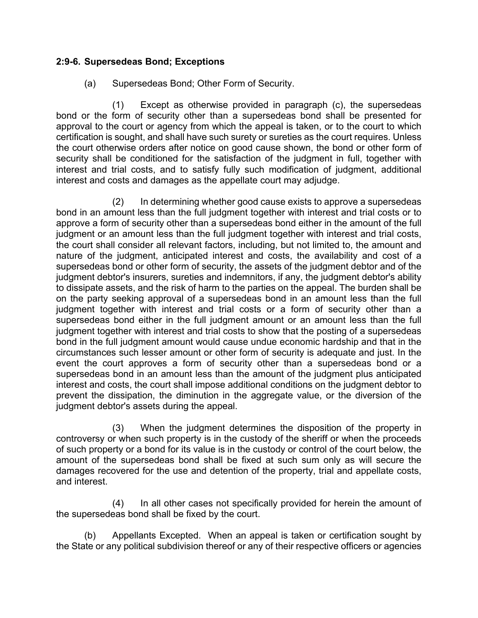## **2:9-6. Supersedeas Bond; Exceptions**

# (a) Supersedeas Bond; Other Form of Security.

(1) Except as otherwise provided in paragraph (c), the supersedeas bond or the form of security other than a supersedeas bond shall be presented for approval to the court or agency from which the appeal is taken, or to the court to which certification is sought, and shall have such surety or sureties as the court requires. Unless the court otherwise orders after notice on good cause shown, the bond or other form of security shall be conditioned for the satisfaction of the judgment in full, together with interest and trial costs, and to satisfy fully such modification of judgment, additional interest and costs and damages as the appellate court may adjudge.

(2) In determining whether good cause exists to approve a supersedeas bond in an amount less than the full judgment together with interest and trial costs or to approve a form of security other than a supersedeas bond either in the amount of the full judgment or an amount less than the full judgment together with interest and trial costs, the court shall consider all relevant factors, including, but not limited to, the amount and nature of the judgment, anticipated interest and costs, the availability and cost of a supersedeas bond or other form of security, the assets of the judgment debtor and of the judgment debtor's insurers, sureties and indemnitors, if any, the judgment debtor's ability to dissipate assets, and the risk of harm to the parties on the appeal. The burden shall be on the party seeking approval of a supersedeas bond in an amount less than the full judgment together with interest and trial costs or a form of security other than a supersedeas bond either in the full judgment amount or an amount less than the full judgment together with interest and trial costs to show that the posting of a supersedeas bond in the full judgment amount would cause undue economic hardship and that in the circumstances such lesser amount or other form of security is adequate and just. In the event the court approves a form of security other than a supersedeas bond or a supersedeas bond in an amount less than the amount of the judgment plus anticipated interest and costs, the court shall impose additional conditions on the judgment debtor to prevent the dissipation, the diminution in the aggregate value, or the diversion of the judgment debtor's assets during the appeal.

(3) When the judgment determines the disposition of the property in controversy or when such property is in the custody of the sheriff or when the proceeds of such property or a bond for its value is in the custody or control of the court below, the amount of the supersedeas bond shall be fixed at such sum only as will secure the damages recovered for the use and detention of the property, trial and appellate costs, and interest.

(4) In all other cases not specifically provided for herein the amount of the supersedeas bond shall be fixed by the court.

(b) Appellants Excepted. When an appeal is taken or certification sought by the State or any political subdivision thereof or any of their respective officers or agencies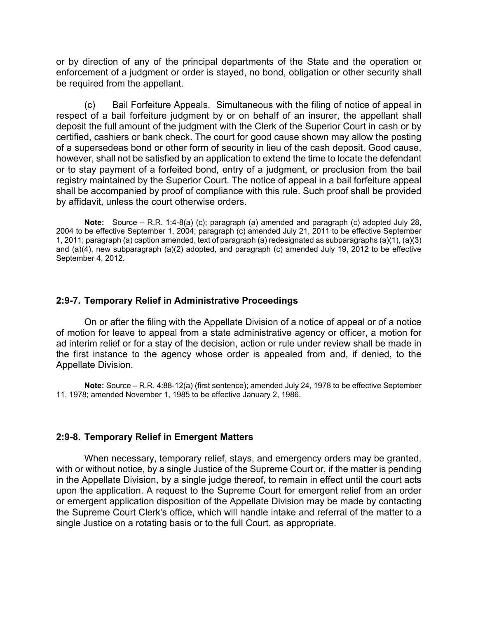or by direction of any of the principal departments of the State and the operation or enforcement of a judgment or order is stayed, no bond, obligation or other security shall be required from the appellant.

(c) Bail Forfeiture Appeals. Simultaneous with the filing of notice of appeal in respect of a bail forfeiture judgment by or on behalf of an insurer, the appellant shall deposit the full amount of the judgment with the Clerk of the Superior Court in cash or by certified, cashiers or bank check. The court for good cause shown may allow the posting of a supersedeas bond or other form of security in lieu of the cash deposit. Good cause, however, shall not be satisfied by an application to extend the time to locate the defendant or to stay payment of a forfeited bond, entry of a judgment, or preclusion from the bail registry maintained by the Superior Court. The notice of appeal in a bail forfeiture appeal shall be accompanied by proof of compliance with this rule. Such proof shall be provided by affidavit, unless the court otherwise orders.

**Note:** Source – R.R. 1:4-8(a) (c); paragraph (a) amended and paragraph (c) adopted July 28, 2004 to be effective September 1, 2004; paragraph (c) amended July 21, 2011 to be effective September 1, 2011; paragraph (a) caption amended, text of paragraph (a) redesignated as subparagraphs (a)(1), (a)(3) and (a)(4), new subparagraph (a)(2) adopted, and paragraph (c) amended July 19, 2012 to be effective September 4, 2012.

#### **2:9-7. Temporary Relief in Administrative Proceedings**

On or after the filing with the Appellate Division of a notice of appeal or of a notice of motion for leave to appeal from a state administrative agency or officer, a motion for ad interim relief or for a stay of the decision, action or rule under review shall be made in the first instance to the agency whose order is appealed from and, if denied, to the Appellate Division.

**Note:** Source – R.R. 4:88-12(a) (first sentence); amended July 24, 1978 to be effective September 11, 1978; amended November 1, 1985 to be effective January 2, 1986.

#### **2:9-8. Temporary Relief in Emergent Matters**

When necessary, temporary relief, stays, and emergency orders may be granted, with or without notice, by a single Justice of the Supreme Court or, if the matter is pending in the Appellate Division, by a single judge thereof, to remain in effect until the court acts upon the application. A request to the Supreme Court for emergent relief from an order or emergent application disposition of the Appellate Division may be made by contacting the Supreme Court Clerk's office, which will handle intake and referral of the matter to a single Justice on a rotating basis or to the full Court, as appropriate.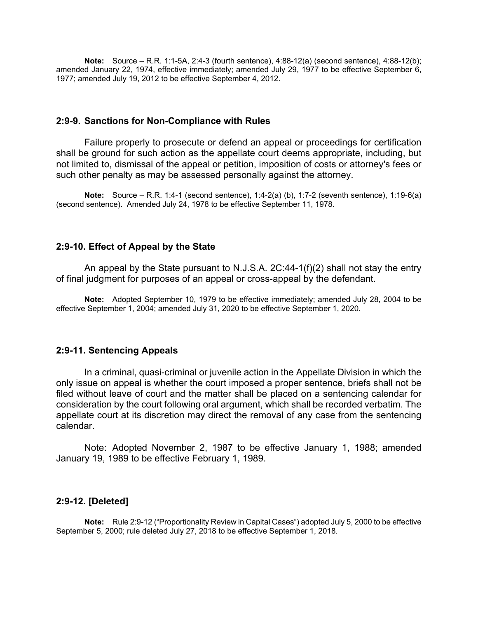**Note:** Source – R.R. 1:1-5A, 2:4-3 (fourth sentence), 4:88-12(a) (second sentence), 4:88-12(b); amended January 22, 1974, effective immediately; amended July 29, 1977 to be effective September 6, 1977; amended July 19, 2012 to be effective September 4, 2012.

#### **2:9-9. Sanctions for Non-Compliance with Rules**

Failure properly to prosecute or defend an appeal or proceedings for certification shall be ground for such action as the appellate court deems appropriate, including, but not limited to, dismissal of the appeal or petition, imposition of costs or attorney's fees or such other penalty as may be assessed personally against the attorney.

**Note:** Source – R.R. 1:4-1 (second sentence), 1:4-2(a) (b), 1:7-2 (seventh sentence), 1:19-6(a) (second sentence). Amended July 24, 1978 to be effective September 11, 1978.

#### **2:9-10. Effect of Appeal by the State**

An appeal by the State pursuant to N.J.S.A.  $2C:44-1(f)(2)$  shall not stay the entry of final judgment for purposes of an appeal or cross-appeal by the defendant.

**Note:** Adopted September 10, 1979 to be effective immediately; amended July 28, 2004 to be effective September 1, 2004; amended July 31, 2020 to be effective September 1, 2020.

#### **2:9-11. Sentencing Appeals**

In a criminal, quasi-criminal or juvenile action in the Appellate Division in which the only issue on appeal is whether the court imposed a proper sentence, briefs shall not be filed without leave of court and the matter shall be placed on a sentencing calendar for consideration by the court following oral argument, which shall be recorded verbatim. The appellate court at its discretion may direct the removal of any case from the sentencing calendar.

Note: Adopted November 2, 1987 to be effective January 1, 1988; amended January 19, 1989 to be effective February 1, 1989.

#### **2:9-12. [Deleted]**

**Note:** Rule 2:9-12 ("Proportionality Review in Capital Cases") adopted July 5, 2000 to be effective September 5, 2000; rule deleted July 27, 2018 to be effective September 1, 2018.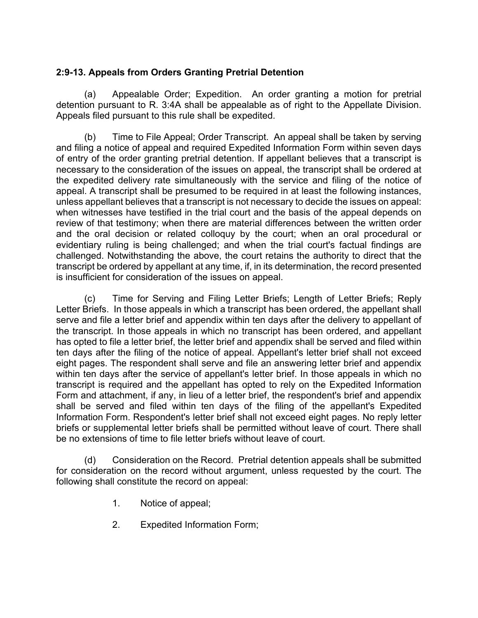# **2:9-13. Appeals from Orders Granting Pretrial Detention**

(a) Appealable Order; Expedition. An order granting a motion for pretrial detention pursuant to R. 3:4A shall be appealable as of right to the Appellate Division. Appeals filed pursuant to this rule shall be expedited.

(b) Time to File Appeal; Order Transcript. An appeal shall be taken by serving and filing a notice of appeal and required Expedited Information Form within seven days of entry of the order granting pretrial detention. If appellant believes that a transcript is necessary to the consideration of the issues on appeal, the transcript shall be ordered at the expedited delivery rate simultaneously with the service and filing of the notice of appeal. A transcript shall be presumed to be required in at least the following instances, unless appellant believes that a transcript is not necessary to decide the issues on appeal: when witnesses have testified in the trial court and the basis of the appeal depends on review of that testimony; when there are material differences between the written order and the oral decision or related colloquy by the court; when an oral procedural or evidentiary ruling is being challenged; and when the trial court's factual findings are challenged. Notwithstanding the above, the court retains the authority to direct that the transcript be ordered by appellant at any time, if, in its determination, the record presented is insufficient for consideration of the issues on appeal.

(c) Time for Serving and Filing Letter Briefs; Length of Letter Briefs; Reply Letter Briefs. In those appeals in which a transcript has been ordered, the appellant shall serve and file a letter brief and appendix within ten days after the delivery to appellant of the transcript. In those appeals in which no transcript has been ordered, and appellant has opted to file a letter brief, the letter brief and appendix shall be served and filed within ten days after the filing of the notice of appeal. Appellant's letter brief shall not exceed eight pages. The respondent shall serve and file an answering letter brief and appendix within ten days after the service of appellant's letter brief. In those appeals in which no transcript is required and the appellant has opted to rely on the Expedited Information Form and attachment, if any, in lieu of a letter brief, the respondent's brief and appendix shall be served and filed within ten days of the filing of the appellant's Expedited Information Form. Respondent's letter brief shall not exceed eight pages. No reply letter briefs or supplemental letter briefs shall be permitted without leave of court. There shall be no extensions of time to file letter briefs without leave of court.

(d) Consideration on the Record. Pretrial detention appeals shall be submitted for consideration on the record without argument, unless requested by the court. The following shall constitute the record on appeal:

- 1. Notice of appeal;
- 2. Expedited Information Form;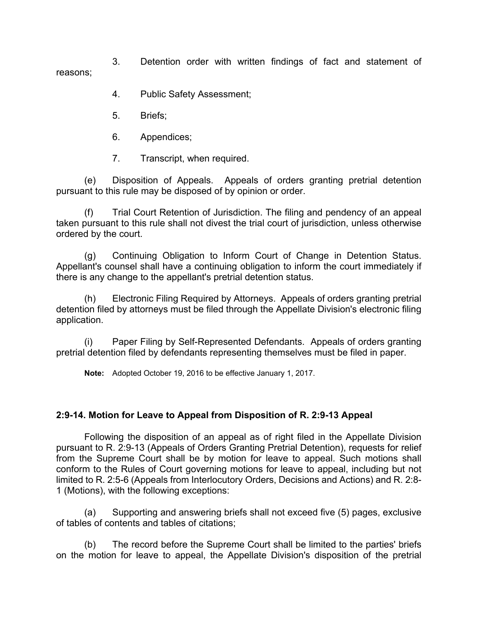3. Detention order with written findings of fact and statement of reasons;

- 4. Public Safety Assessment;
- 5. Briefs;
- 6. Appendices;
- 7. Transcript, when required.

(e) Disposition of Appeals. Appeals of orders granting pretrial detention pursuant to this rule may be disposed of by opinion or order.

(f) Trial Court Retention of Jurisdiction. The filing and pendency of an appeal taken pursuant to this rule shall not divest the trial court of jurisdiction, unless otherwise ordered by the court.

(g) Continuing Obligation to Inform Court of Change in Detention Status. Appellant's counsel shall have a continuing obligation to inform the court immediately if there is any change to the appellant's pretrial detention status.

(h) Electronic Filing Required by Attorneys. Appeals of orders granting pretrial detention filed by attorneys must be filed through the Appellate Division's electronic filing application.

(i) Paper Filing by Self-Represented Defendants. Appeals of orders granting pretrial detention filed by defendants representing themselves must be filed in paper.

**Note:** Adopted October 19, 2016 to be effective January 1, 2017.

# **2:9-14. Motion for Leave to Appeal from Disposition of R. 2:9-13 Appeal**

Following the disposition of an appeal as of right filed in the Appellate Division pursuant to R. 2:9-13 (Appeals of Orders Granting Pretrial Detention), requests for relief from the Supreme Court shall be by motion for leave to appeal. Such motions shall conform to the Rules of Court governing motions for leave to appeal, including but not limited to R. 2:5-6 (Appeals from Interlocutory Orders, Decisions and Actions) and R. 2:8- 1 (Motions), with the following exceptions:

(a) Supporting and answering briefs shall not exceed five (5) pages, exclusive of tables of contents and tables of citations;

(b) The record before the Supreme Court shall be limited to the parties' briefs on the motion for leave to appeal, the Appellate Division's disposition of the pretrial